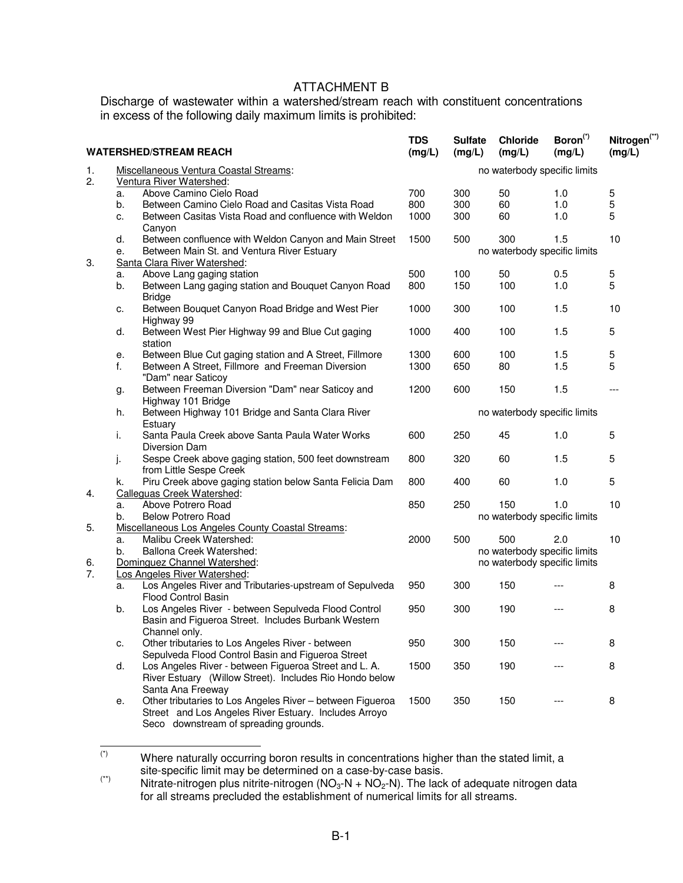## ATTACHMENT B

Discharge of wastewater within a watershed/stream reach with constituent concentrations in excess of the following daily maximum limits is prohibited:

| <b>WATERSHED/STREAM REACH</b> |                                                  |                                                           | <b>TDS</b><br>(mg/L)         | <b>Sulfate</b><br>(mg/L)     | <b>Chloride</b><br>(mg/L)    | Boron <sup>(*)</sup><br>(mg/L) | Nitrogen <sup>(**)</sup><br>(mg/L) |  |  |
|-------------------------------|--------------------------------------------------|-----------------------------------------------------------|------------------------------|------------------------------|------------------------------|--------------------------------|------------------------------------|--|--|
| 1.                            | Miscellaneous Ventura Coastal Streams:           |                                                           |                              | no waterbody specific limits |                              |                                |                                    |  |  |
| 2.                            |                                                  | Ventura River Watershed:                                  |                              |                              |                              |                                |                                    |  |  |
|                               | a.                                               | Above Camino Cielo Road                                   | 700                          | 300                          | 50                           | 1.0                            | 5                                  |  |  |
|                               | b.                                               | Between Camino Cielo Road and Casitas Vista Road          | 800                          | 300                          | 60                           | 1.0                            | 5                                  |  |  |
|                               | c.                                               | Between Casitas Vista Road and confluence with Weldon     | 1000                         | 300                          | 60                           | 1.0                            | 5                                  |  |  |
|                               |                                                  | Canyon                                                    |                              |                              |                              |                                |                                    |  |  |
|                               | d.                                               | Between confluence with Weldon Canyon and Main Street     | 1500                         | 500                          | 300                          | 1.5                            | 10                                 |  |  |
|                               | Between Main St. and Ventura River Estuary<br>е. |                                                           | no waterbody specific limits |                              |                              |                                |                                    |  |  |
| 3.                            |                                                  | Santa Clara River Watershed:                              |                              |                              |                              |                                |                                    |  |  |
|                               | a.                                               | Above Lang gaging station                                 | 500                          | 100                          | 50                           | 0.5                            | 5                                  |  |  |
|                               | b.                                               | Between Lang gaging station and Bouquet Canyon Road       | 800                          | 150                          | 100                          | 1.0                            | 5                                  |  |  |
|                               |                                                  | <b>Bridge</b>                                             |                              |                              |                              |                                |                                    |  |  |
|                               | c.                                               | Between Bouquet Canyon Road Bridge and West Pier          | 1000                         | 300                          | 100                          | 1.5                            | 10                                 |  |  |
|                               |                                                  | Highway 99                                                |                              |                              |                              |                                |                                    |  |  |
|                               | d.                                               | Between West Pier Highway 99 and Blue Cut gaging          | 1000                         | 400                          | 100                          | $1.5$                          | 5                                  |  |  |
|                               |                                                  | station                                                   |                              |                              |                              |                                |                                    |  |  |
|                               | е.                                               | Between Blue Cut gaging station and A Street, Fillmore    | 1300                         | 600                          | 100                          | 1.5                            | 5                                  |  |  |
|                               | f.                                               | Between A Street, Fillmore and Freeman Diversion          | 1300                         | 650                          | 80                           | 1.5                            | 5                                  |  |  |
|                               |                                                  | "Dam" near Saticoy                                        |                              |                              |                              |                                |                                    |  |  |
|                               | g.                                               | Between Freeman Diversion "Dam" near Saticoy and          | 1200                         | 600                          | 150                          | 1.5                            | $---$                              |  |  |
|                               |                                                  | Highway 101 Bridge                                        |                              |                              |                              |                                |                                    |  |  |
|                               | h.                                               | Between Highway 101 Bridge and Santa Clara River          | no waterbody specific limits |                              |                              |                                |                                    |  |  |
|                               |                                                  | Estuary                                                   |                              |                              |                              |                                |                                    |  |  |
|                               | i.                                               | Santa Paula Creek above Santa Paula Water Works           | 600                          | 250                          | 45                           | 1.0                            | 5                                  |  |  |
|                               |                                                  | Diversion Dam                                             |                              |                              |                              |                                |                                    |  |  |
|                               | j.                                               | Sespe Creek above gaging station, 500 feet downstream     | 800                          | 320                          | 60                           | 1.5                            | 5                                  |  |  |
|                               |                                                  | from Little Sespe Creek                                   |                              |                              |                              |                                |                                    |  |  |
|                               | k.                                               | Piru Creek above gaging station below Santa Felicia Dam   | 800                          | 400                          | 60                           | 1.0                            | 5                                  |  |  |
| 4.                            |                                                  | Calleguas Creek Watershed:                                |                              |                              |                              |                                |                                    |  |  |
|                               | a.                                               | Above Potrero Road                                        | 850                          | 250                          | 150                          | 1.0                            | 10                                 |  |  |
|                               | b.                                               | <b>Below Potrero Road</b>                                 |                              |                              | no waterbody specific limits |                                |                                    |  |  |
| 5.                            |                                                  | Miscellaneous Los Angeles County Coastal Streams:         |                              |                              |                              |                                |                                    |  |  |
|                               | a.                                               | Malibu Creek Watershed:                                   | 2000                         | 500                          | 500                          | 2.0                            | 10                                 |  |  |
|                               | b.                                               | Ballona Creek Watershed:                                  |                              |                              | no waterbody specific limits |                                |                                    |  |  |
| 6.                            |                                                  | Dominguez Channel Watershed:                              |                              |                              | no waterbody specific limits |                                |                                    |  |  |
| 7.                            |                                                  | Los Angeles River Watershed:                              |                              |                              |                              |                                |                                    |  |  |
|                               | а.                                               | Los Angeles River and Tributaries-upstream of Sepulveda   | 950                          | 300                          | 150                          |                                | 8                                  |  |  |
|                               |                                                  | <b>Flood Control Basin</b>                                |                              |                              |                              |                                |                                    |  |  |
|                               | b.                                               | Los Angeles River - between Sepulveda Flood Control       | 950                          | 300                          | 190                          |                                | 8                                  |  |  |
|                               |                                                  | Basin and Figueroa Street. Includes Burbank Western       |                              |                              |                              |                                |                                    |  |  |
|                               |                                                  | Channel only.                                             |                              |                              |                              |                                |                                    |  |  |
|                               | c.                                               | Other tributaries to Los Angeles River - between          | 950                          | 300                          | 150                          |                                | 8                                  |  |  |
|                               |                                                  | Sepulveda Flood Control Basin and Figueroa Street         |                              |                              |                              |                                |                                    |  |  |
|                               | d.                                               | Los Angeles River - between Figueroa Street and L. A.     | 1500                         | 350                          | 190                          |                                | 8                                  |  |  |
|                               |                                                  | River Estuary (Willow Street). Includes Rio Hondo below   |                              |                              |                              |                                |                                    |  |  |
|                               |                                                  | Santa Ana Freeway                                         |                              |                              |                              |                                |                                    |  |  |
|                               | е.                                               | Other tributaries to Los Angeles River - between Figueroa | 1500                         | 350                          | 150                          |                                | 8                                  |  |  |
|                               |                                                  | Street and Los Angeles River Estuary. Includes Arroyo     |                              |                              |                              |                                |                                    |  |  |
|                               |                                                  | Seco downstream of spreading grounds.                     |                              |                              |                              |                                |                                    |  |  |

 $(\dot{z})$ Where naturally occurring boron results in concentrations higher than the stated limit, a site-specific limit may be determined on a case-by-case basis.

 $(*)$  Nitrate-nitrogen plus nitrite-nitrogen (NO<sub>3</sub>-N + NO<sub>2</sub>-N). The lack of adequate nitrogen data for all streams precluded the establishment of numerical limits for all streams.